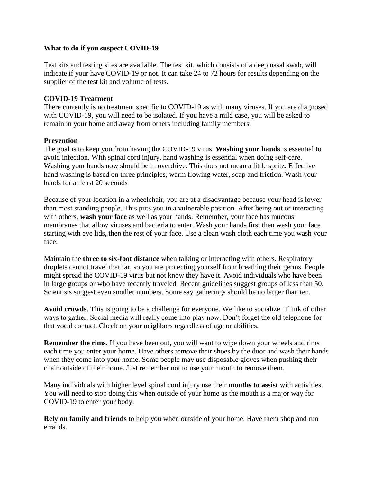## **What to do if you suspect COVID-19**

Test kits and testing sites are available. The test kit, which consists of a deep nasal swab, will indicate if your have COVID-19 or not. It can take 24 to 72 hours for results depending on the supplier of the test kit and volume of tests.

## **COVID-19 Treatment**

There currently is no treatment specific to COVID-19 as with many viruses. If you are diagnosed with COVID-19, you will need to be isolated. If you have a mild case, you will be asked to remain in your home and away from others including family members.

## **Prevention**

The goal is to keep you from having the COVID-19 virus. **Washing your hands** is essential to avoid infection. With spinal cord injury, hand washing is essential when doing self-care. Washing your hands now should be in overdrive. This does not mean a little spritz. Effective hand washing is based on three principles, warm flowing water, soap and friction. Wash your hands for at least 20 seconds

Because of your location in a wheelchair, you are at a disadvantage because your head is lower than most standing people. This puts you in a vulnerable position. After being out or interacting with others, **wash your face** as well as your hands. Remember, your face has mucous membranes that allow viruses and bacteria to enter. Wash your hands first then wash your face starting with eye lids, then the rest of your face. Use a clean wash cloth each time you wash your face.

Maintain the **three to six-foot distance** when talking or interacting with others. Respiratory droplets cannot travel that far, so you are protecting yourself from breathing their germs. People might spread the COVID-19 virus but not know they have it. Avoid individuals who have been in large groups or who have recently traveled. Recent guidelines suggest groups of less than 50. Scientists suggest even smaller numbers. Some say gatherings should be no larger than ten.

**Avoid crowds**. This is going to be a challenge for everyone. We like to socialize. Think of other ways to gather. Social media will really come into play now. Don't forget the old telephone for that vocal contact. Check on your neighbors regardless of age or abilities.

**Remember the rims**. If you have been out, you will want to wipe down your wheels and rims each time you enter your home. Have others remove their shoes by the door and wash their hands when they come into your home. Some people may use disposable gloves when pushing their chair outside of their home. Just remember not to use your mouth to remove them.

Many individuals with higher level spinal cord injury use their **mouths to assist** with activities. You will need to stop doing this when outside of your home as the mouth is a major way for COVID-19 to enter your body.

**Rely on family and friends** to help you when outside of your home. Have them shop and run errands.